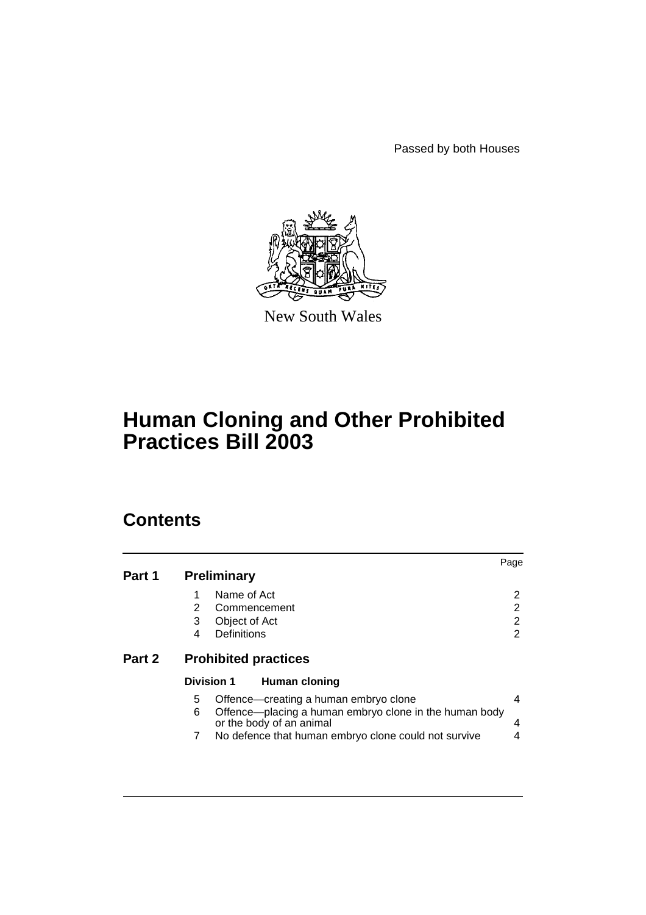Passed by both Houses



New South Wales

# **Human Cloning and Other Prohibited Practices Bill 2003**

# **Contents**

| Part 1 | <b>Preliminary</b>                                                                                                                    | Page           |
|--------|---------------------------------------------------------------------------------------------------------------------------------------|----------------|
|        | Name of Act<br>2<br>Commencement<br>3<br>Object of Act                                                                                | 2<br>2<br>2    |
| Part 2 | Definitions<br>4<br><b>Prohibited practices</b>                                                                                       | $\overline{2}$ |
|        | <b>Division 1</b><br><b>Human cloning</b>                                                                                             |                |
|        | Offence-creating a human embryo clone<br>5<br>6<br>Offence—placing a human embryo clone in the human body<br>or the body of an animal | 4<br>4         |
|        | No defence that human embryo clone could not survive<br>7                                                                             | 4              |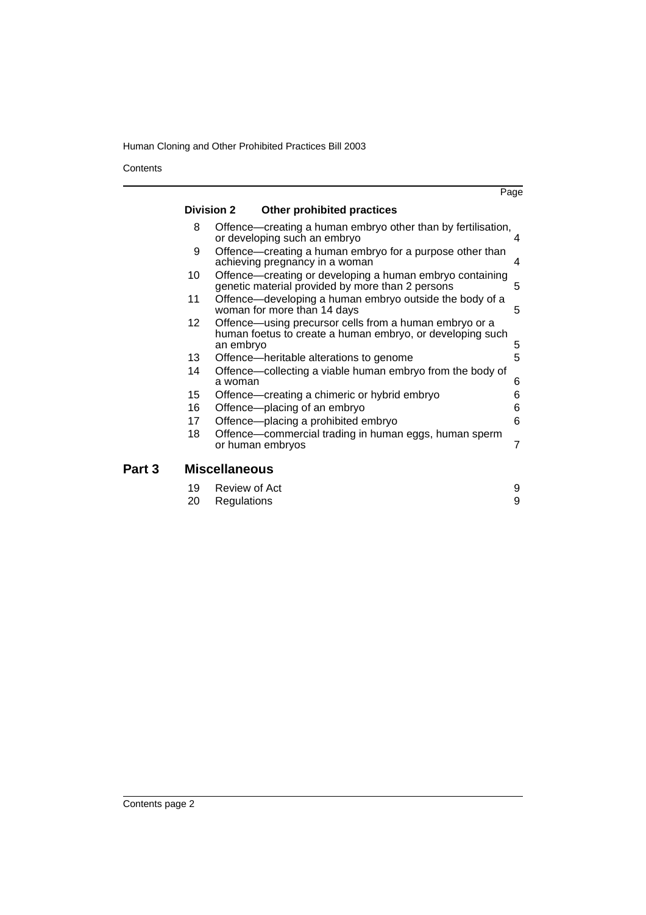Human Cloning and Other Prohibited Practices Bill 2003

**Contents** 

Part 3

|                      |                                                                                                                                  | Page |  |  |
|----------------------|----------------------------------------------------------------------------------------------------------------------------------|------|--|--|
|                      | <b>Division 2</b><br><b>Other prohibited practices</b>                                                                           |      |  |  |
| 8                    | Offence—creating a human embryo other than by fertilisation,<br>or developing such an embryo                                     | 4    |  |  |
| 9                    | Offence—creating a human embryo for a purpose other than<br>achieving pregnancy in a woman                                       | 4    |  |  |
| 10                   | Offence-creating or developing a human embryo containing<br>genetic material provided by more than 2 persons                     | 5    |  |  |
| 11                   | Offence—developing a human embryo outside the body of a<br>woman for more than 14 days                                           | 5    |  |  |
| 12 <sup>2</sup>      | Offence—using precursor cells from a human embryo or a<br>human foetus to create a human embryo, or developing such<br>an embryo | 5    |  |  |
| 13                   | Offence—heritable alterations to genome                                                                                          | 5    |  |  |
| 14                   | Offence—collecting a viable human embryo from the body of<br>a woman                                                             | 6    |  |  |
| 15                   | Offence—creating a chimeric or hybrid embryo                                                                                     | 6    |  |  |
| 16                   | Offence-placing of an embryo                                                                                                     | 6    |  |  |
| 17                   | Offence-placing a prohibited embryo                                                                                              | 6    |  |  |
| 18                   | Offence—commercial trading in human eggs, human sperm<br>or human embryos                                                        | 7    |  |  |
| <b>Miscellaneous</b> |                                                                                                                                  |      |  |  |
| 19                   | Review of Act                                                                                                                    | 9    |  |  |

[20 Regulations 9](#page-10-2)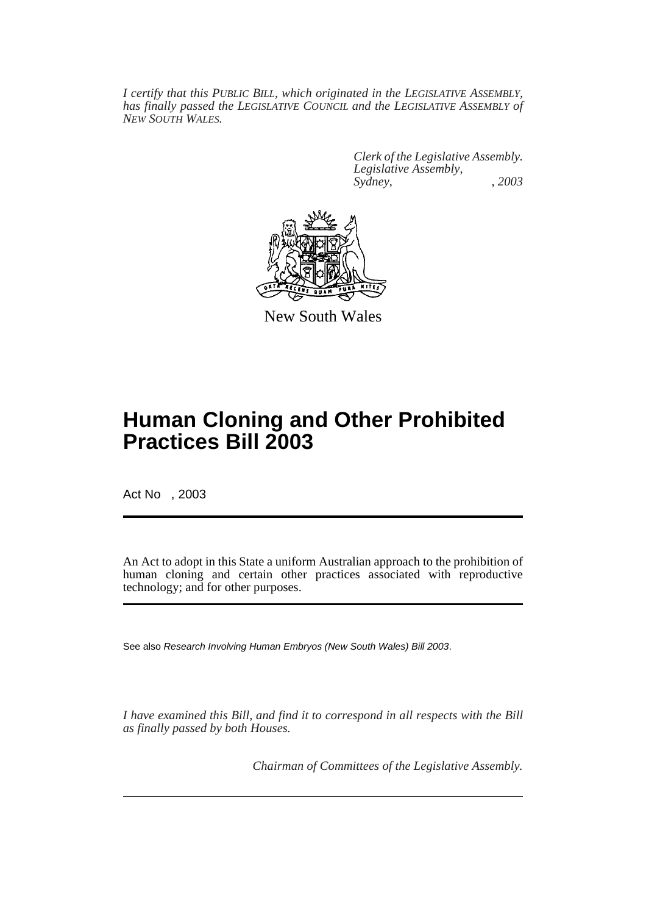*I certify that this PUBLIC BILL, which originated in the LEGISLATIVE ASSEMBLY, has finally passed the LEGISLATIVE COUNCIL and the LEGISLATIVE ASSEMBLY of NEW SOUTH WALES.*

> *Clerk of the Legislative Assembly. Legislative Assembly, Sydney, , 2003*



New South Wales

# **Human Cloning and Other Prohibited Practices Bill 2003**

Act No , 2003

An Act to adopt in this State a uniform Australian approach to the prohibition of human cloning and certain other practices associated with reproductive technology; and for other purposes.

See also Research Involving Human Embryos (New South Wales) Bill 2003.

*I have examined this Bill, and find it to correspond in all respects with the Bill as finally passed by both Houses.*

*Chairman of Committees of the Legislative Assembly.*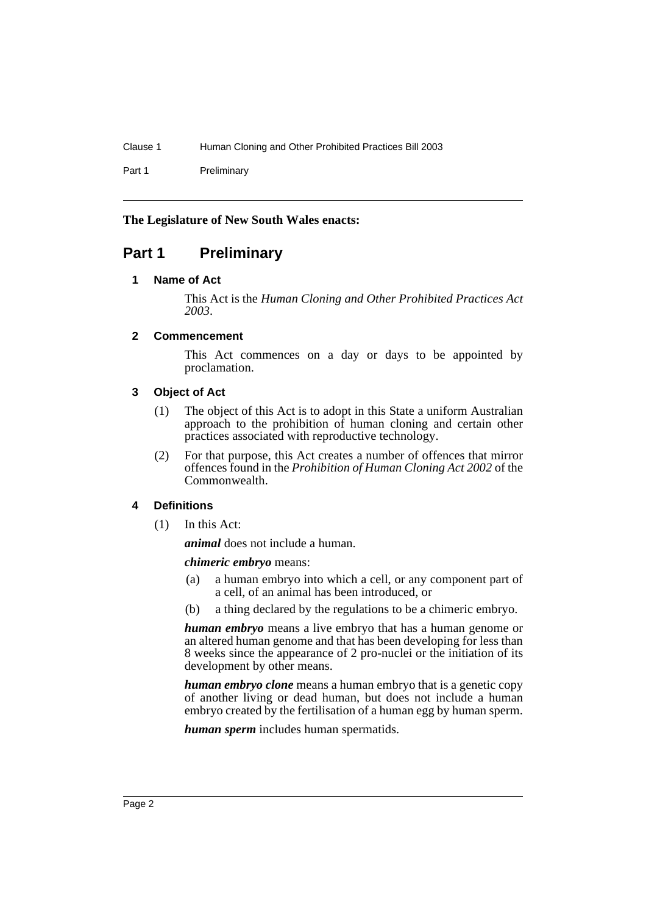Clause 1 Human Cloning and Other Prohibited Practices Bill 2003

Part 1 Preliminary

# **The Legislature of New South Wales enacts:**

# <span id="page-3-1"></span><span id="page-3-0"></span>**Part 1 Preliminary**

# **1 Name of Act**

This Act is the *Human Cloning and Other Prohibited Practices Act 2003*.

# <span id="page-3-2"></span>**2 Commencement**

This Act commences on a day or days to be appointed by proclamation.

# <span id="page-3-3"></span>**3 Object of Act**

- (1) The object of this Act is to adopt in this State a uniform Australian approach to the prohibition of human cloning and certain other practices associated with reproductive technology.
- (2) For that purpose, this Act creates a number of offences that mirror offences found in the *Prohibition of Human Cloning Act 2002* of the Commonwealth.

# <span id="page-3-4"></span>**4 Definitions**

(1) In this Act:

*animal* does not include a human.

# *chimeric embryo* means:

- (a) a human embryo into which a cell, or any component part of a cell, of an animal has been introduced, or
- (b) a thing declared by the regulations to be a chimeric embryo.

*human embryo* means a live embryo that has a human genome or an altered human genome and that has been developing for less than 8 weeks since the appearance of 2 pro-nuclei or the initiation of its development by other means.

*human embryo clone* means a human embryo that is a genetic copy of another living or dead human, but does not include a human embryo created by the fertilisation of a human egg by human sperm.

*human sperm* includes human spermatids.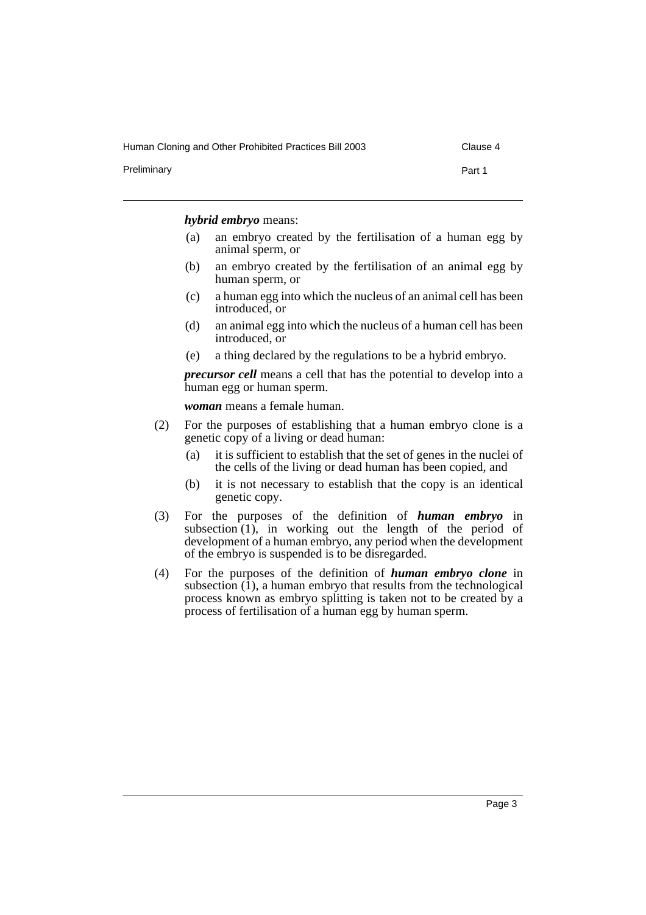Human Cloning and Other Prohibited Practices Bill 2003 Clause 4

Preliminary **Preliminary** Part 1

#### *hybrid embryo* means:

- (a) an embryo created by the fertilisation of a human egg by animal sperm, or
- (b) an embryo created by the fertilisation of an animal egg by human sperm, or
- (c) a human egg into which the nucleus of an animal cell has been introduced, or
- (d) an animal egg into which the nucleus of a human cell has been introduced, or
- (e) a thing declared by the regulations to be a hybrid embryo.

*precursor cell* means a cell that has the potential to develop into a human egg or human sperm.

*woman* means a female human.

- (2) For the purposes of establishing that a human embryo clone is a genetic copy of a living or dead human:
	- (a) it is sufficient to establish that the set of genes in the nuclei of the cells of the living or dead human has been copied, and
	- (b) it is not necessary to establish that the copy is an identical genetic copy.
- (3) For the purposes of the definition of *human embryo* in subsection (1), in working out the length of the period of development of a human embryo, any period when the development of the embryo is suspended is to be disregarded.
- (4) For the purposes of the definition of *human embryo clone* in subsection (1), a human embryo that results from the technological process known as embryo splitting is taken not to be created by a process of fertilisation of a human egg by human sperm.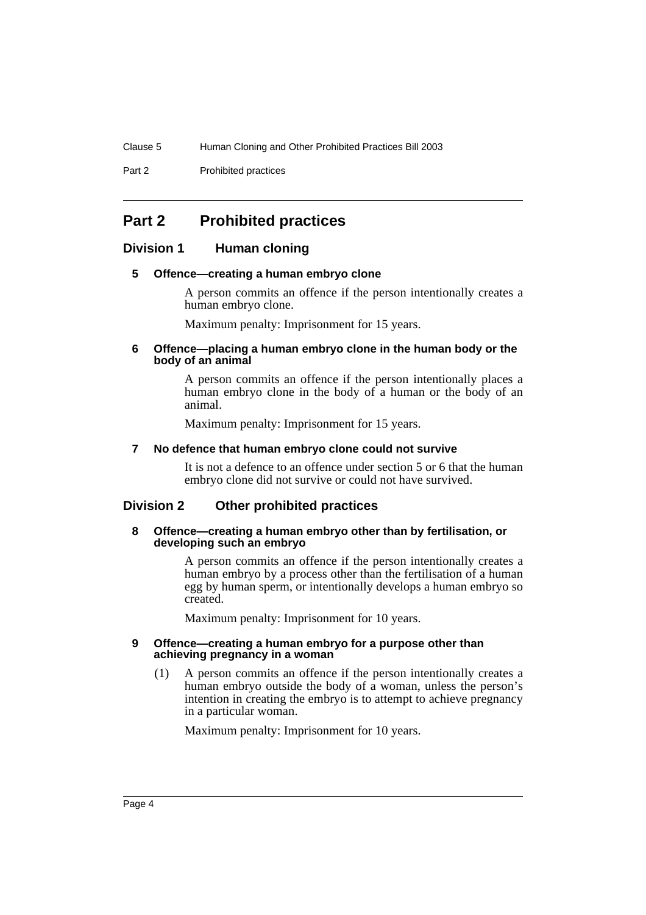Clause 5 Human Cloning and Other Prohibited Practices Bill 2003

Part 2 **Prohibited practices** 

# <span id="page-5-0"></span>**Part 2 Prohibited practices**

# <span id="page-5-2"></span><span id="page-5-1"></span>**Division 1 Human cloning**

# **5 Offence—creating a human embryo clone**

A person commits an offence if the person intentionally creates a human embryo clone.

Maximum penalty: Imprisonment for 15 years.

### <span id="page-5-3"></span>**6 Offence—placing a human embryo clone in the human body or the body of an animal**

A person commits an offence if the person intentionally places a human embryo clone in the body of a human or the body of an animal.

Maximum penalty: Imprisonment for 15 years.

#### <span id="page-5-4"></span>**7 No defence that human embryo clone could not survive**

It is not a defence to an offence under section 5 or 6 that the human embryo clone did not survive or could not have survived.

# <span id="page-5-6"></span><span id="page-5-5"></span>**Division 2 Other prohibited practices**

#### **8 Offence—creating a human embryo other than by fertilisation, or developing such an embryo**

A person commits an offence if the person intentionally creates a human embryo by a process other than the fertilisation of a human egg by human sperm, or intentionally develops a human embryo so created.

Maximum penalty: Imprisonment for 10 years.

#### <span id="page-5-7"></span>**9 Offence—creating a human embryo for a purpose other than achieving pregnancy in a woman**

(1) A person commits an offence if the person intentionally creates a human embryo outside the body of a woman, unless the person's intention in creating the embryo is to attempt to achieve pregnancy in a particular woman.

Maximum penalty: Imprisonment for 10 years.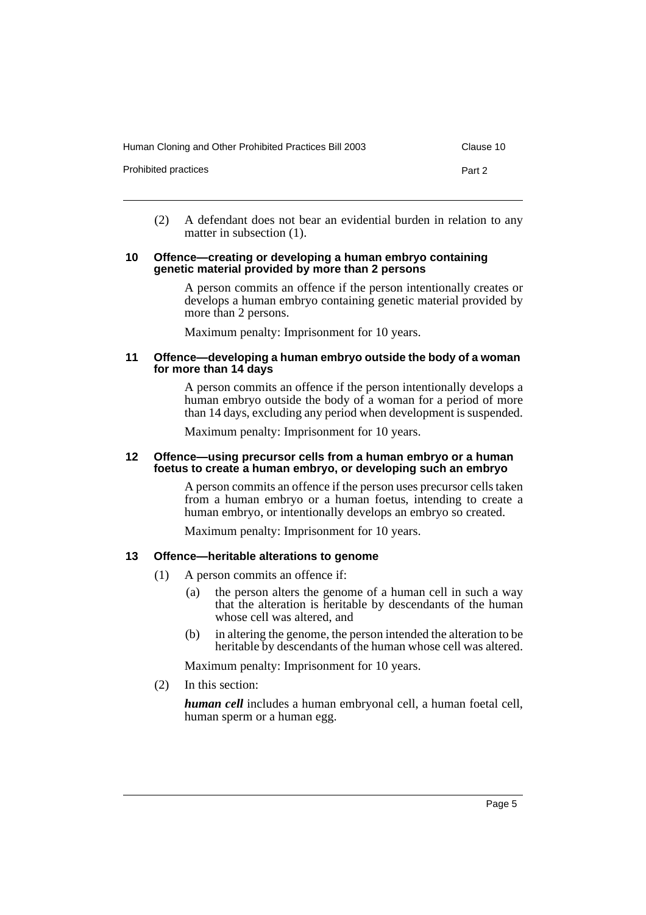| Human Cloning and Other Prohibited Practices Bill 2003 | Clause 10 |
|--------------------------------------------------------|-----------|
| Prohibited practices                                   | Part 2    |
|                                                        |           |

(2) A defendant does not bear an evidential burden in relation to any matter in subsection (1).

#### <span id="page-6-0"></span>**10 Offence—creating or developing a human embryo containing genetic material provided by more than 2 persons**

A person commits an offence if the person intentionally creates or develops a human embryo containing genetic material provided by more than 2 persons.

Maximum penalty: Imprisonment for 10 years.

#### <span id="page-6-1"></span>**11 Offence—developing a human embryo outside the body of a woman for more than 14 days**

A person commits an offence if the person intentionally develops a human embryo outside the body of a woman for a period of more than 14 days, excluding any period when development is suspended.

Maximum penalty: Imprisonment for 10 years.

#### <span id="page-6-2"></span>**12 Offence—using precursor cells from a human embryo or a human foetus to create a human embryo, or developing such an embryo**

A person commits an offence if the person uses precursor cells taken from a human embryo or a human foetus, intending to create a human embryo, or intentionally develops an embryo so created.

Maximum penalty: Imprisonment for 10 years.

# <span id="page-6-3"></span>**13 Offence—heritable alterations to genome**

- (1) A person commits an offence if:
	- (a) the person alters the genome of a human cell in such a way that the alteration is heritable by descendants of the human whose cell was altered, and
	- (b) in altering the genome, the person intended the alteration to be heritable by descendants of the human whose cell was altered.

Maximum penalty: Imprisonment for 10 years.

(2) In this section:

*human cell* includes a human embryonal cell, a human foetal cell, human sperm or a human egg.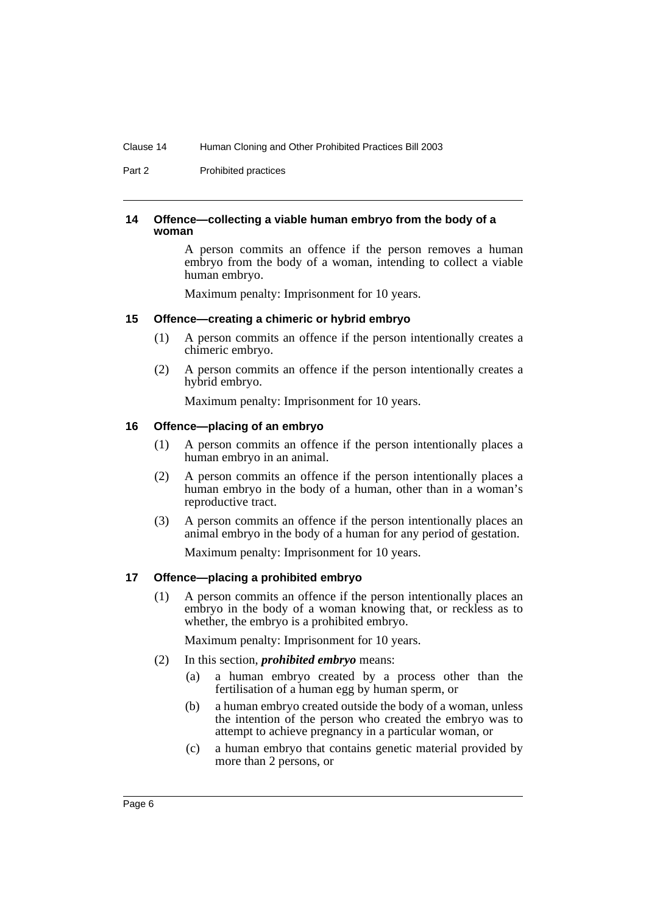Part 2 **Prohibited practices** 

#### <span id="page-7-0"></span>**14 Offence—collecting a viable human embryo from the body of a woman**

A person commits an offence if the person removes a human embryo from the body of a woman, intending to collect a viable human embryo.

Maximum penalty: Imprisonment for 10 years.

# <span id="page-7-1"></span>**15 Offence—creating a chimeric or hybrid embryo**

- (1) A person commits an offence if the person intentionally creates a chimeric embryo.
- (2) A person commits an offence if the person intentionally creates a hybrid embryo.

Maximum penalty: Imprisonment for 10 years.

# <span id="page-7-2"></span>**16 Offence—placing of an embryo**

- (1) A person commits an offence if the person intentionally places a human embryo in an animal.
- (2) A person commits an offence if the person intentionally places a human embryo in the body of a human, other than in a woman's reproductive tract.
- (3) A person commits an offence if the person intentionally places an animal embryo in the body of a human for any period of gestation.

Maximum penalty: Imprisonment for 10 years.

# <span id="page-7-3"></span>**17 Offence—placing a prohibited embryo**

(1) A person commits an offence if the person intentionally places an embryo in the body of a woman knowing that, or reckless as to whether, the embryo is a prohibited embryo.

Maximum penalty: Imprisonment for 10 years.

- (2) In this section, *prohibited embryo* means:
	- (a) a human embryo created by a process other than the fertilisation of a human egg by human sperm, or
	- (b) a human embryo created outside the body of a woman, unless the intention of the person who created the embryo was to attempt to achieve pregnancy in a particular woman, or
	- (c) a human embryo that contains genetic material provided by more than 2 persons, or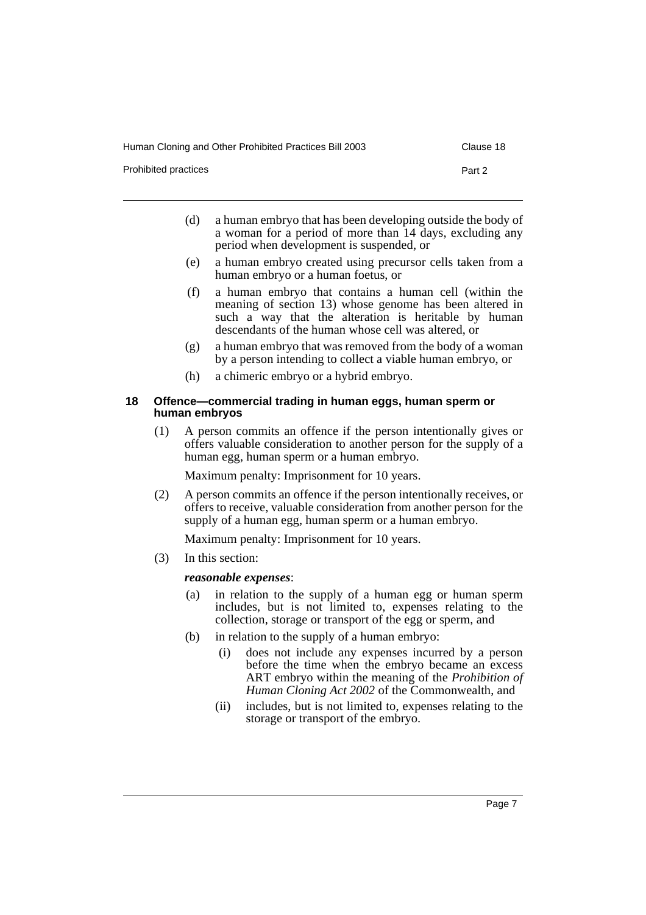Human Cloning and Other Prohibited Practices Bill 2003 Clause 18

Prohibited practices **Part 2** 

- (d) a human embryo that has been developing outside the body of a woman for a period of more than 14 days, excluding any period when development is suspended, or
- (e) a human embryo created using precursor cells taken from a human embryo or a human foetus, or
- (f) a human embryo that contains a human cell (within the meaning of section 13) whose genome has been altered in such a way that the alteration is heritable by human descendants of the human whose cell was altered, or
- (g) a human embryo that was removed from the body of a woman by a person intending to collect a viable human embryo, or
- (h) a chimeric embryo or a hybrid embryo.

#### <span id="page-8-0"></span>**18 Offence—commercial trading in human eggs, human sperm or human embryos**

(1) A person commits an offence if the person intentionally gives or offers valuable consideration to another person for the supply of a human egg, human sperm or a human embryo.

Maximum penalty: Imprisonment for 10 years.

(2) A person commits an offence if the person intentionally receives, or offers to receive, valuable consideration from another person for the supply of a human egg, human sperm or a human embryo.

Maximum penalty: Imprisonment for 10 years.

(3) In this section:

# *reasonable expenses*:

- (a) in relation to the supply of a human egg or human sperm includes, but is not limited to, expenses relating to the collection, storage or transport of the egg or sperm, and
- (b) in relation to the supply of a human embryo:
	- (i) does not include any expenses incurred by a person before the time when the embryo became an excess ART embryo within the meaning of the *Prohibition of Human Cloning Act 2002* of the Commonwealth, and
	- (ii) includes, but is not limited to, expenses relating to the storage or transport of the embryo.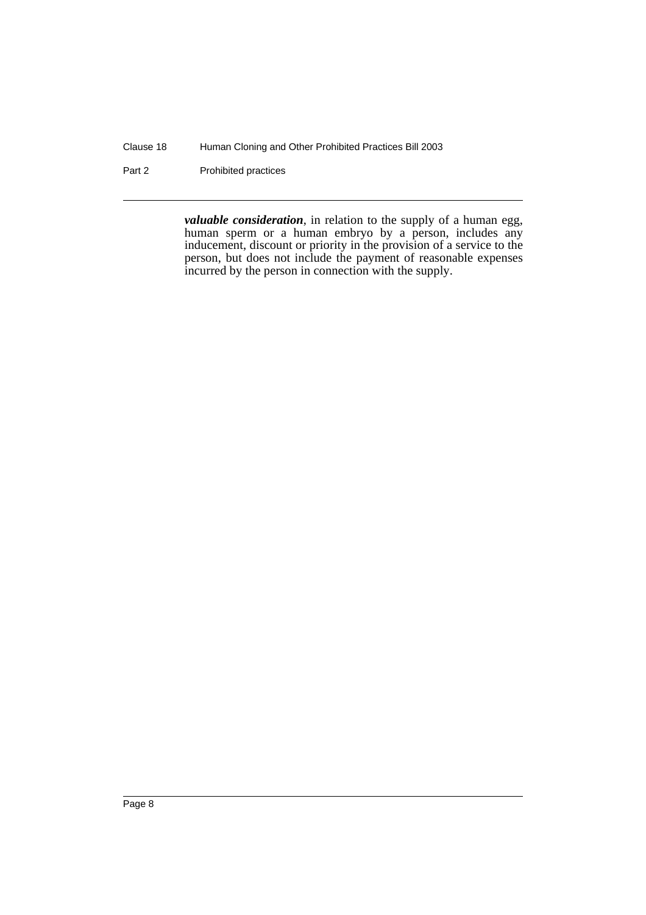Clause 18 Human Cloning and Other Prohibited Practices Bill 2003

Part 2 **Prohibited practices** 

*valuable consideration*, in relation to the supply of a human egg, human sperm or a human embryo by a person, includes any inducement, discount or priority in the provision of a service to the person, but does not include the payment of reasonable expenses incurred by the person in connection with the supply.